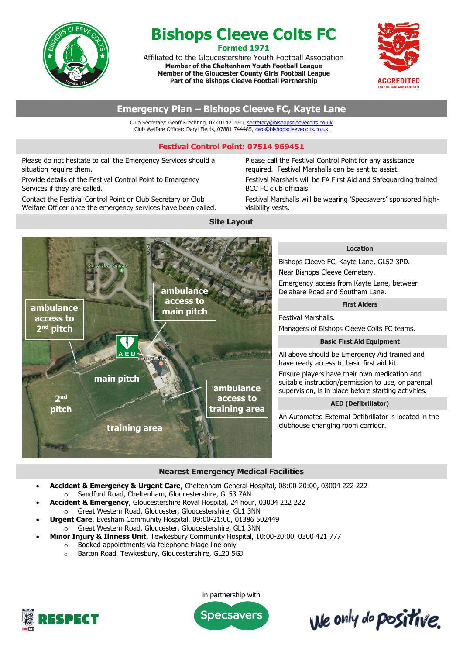

# **Bishops Cleeve Colts FC Formed 1971**

Affiliated to the Gloucestershire Youth Football Association **Member of the Cheltenham Youth Football League Member of the Gloucester County Girls Football League Part of the Bishops Cleeve Football Partnership**



# **Emergency Plan – Bishops Cleeve FC, Kayte Lane**

Club Secretary: Geoff Krechting, 07710 421460, [secretary@bishopscleevecolts.co.uk](mailto:secretary@bishopscleevecolts.co.uk) Club Welfare Officer: Daryl Fields, 07881 744485[, cwo@bishopscleevecolts.co.uk](mailto:cwo@bishopscleevecolts.co.uk)

## **Festival Control Point: 07514 969451**

**Site Layout**

Please do not hesitate to call the Emergency Services should a situation require them.

Provide details of the Festival Control Point to Emergency Services if they are called.

Contact the Festival Control Point or Club Secretary or Club Welfare Officer once the emergency services have been called. Please call the Festival Control Point for any assistance required. Festival Marshalls can be sent to assist.

Festival Marshals will be FA First Aid and Safeguarding trained BCC FC club officials.

Festival Marshalls will be wearing 'Specsavers' sponsored highvisibility vests.



**Location**

Bishops Cleeve FC, Kayte Lane, GL52 3PD. Near Bishops Cleeve Cemetery. Emergency access from Kayte Lane, between Delabare Road and Southam Lane.

#### **First Aiders**

Festival Marshalls.

Managers of Bishops Cleeve Colts FC teams.

#### **Basic First Aid Equipment**

All above should be Emergency Aid trained and have ready access to basic first aid kit. Ensure players have their own medication and

suitable instruction/permission to use, or parental supervision, is in place before starting activities.

#### **AED (Defibrillator)**

An Automated External Defibrillator is located in the clubhouse changing room corridor.

## **Nearest Emergency Medical Facilities**

- **Accident & Emergency & Urgent Care**, Cheltenham General Hospital, 08:00-20:00, 03004 222 222
	- o Sandford Road, Cheltenham, Gloucestershire, GL53 7AN
- **Accident & Emergency**, Gloucestershire Royal Hospital, 24 hour, 03004 222 222  $\ominus$  Great Western Road, Gloucester, Gloucestershire, GL1 3NN
- **Urgent Care**, Evesham Community Hospital, 09:00-21:00, 01386 502449
- $\theta$  Great Western Road, Gloucester, Gloucestershire, GL1 3NN
- **Minor Injury & Ilnness Unit**, Tewkesbury Community Hospital, 10:00-20:00, 0300 421 777
	- o Booked appointments via telephone triage line only
	- o Barton Road, Tewkesbury, Gloucestershire, GL20 5GJ



in partnership with